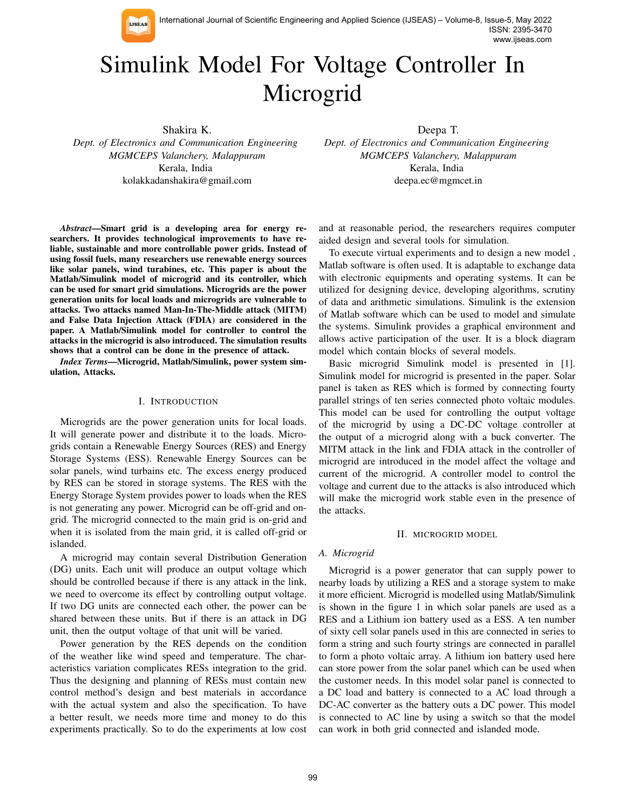

International Journal of Scientific Engineering and Applied Science (IJSEAS) – Volume-8, Issue-5, May 2022 ISSN: 2395-3470 www.ijseas.com

# Simulink Model For Voltage Controller In Microgrid

Shakira K.

*Dept. of Electronics and Communication Engineering MGMCEPS Valanchery, Malappuram* Kerala, India kolakkadanshakira@gmail.com

*Abstract*—Smart grid is a developing area for energy researchers. It provides technological improvements to have reliable, sustainable and more controllable power grids. Instead of using fossil fuels, many researchers use renewable energy sources like solar panels, wind turabines, etc. This paper is about the Matlab/Simulink model of microgrid and its controller, which can be used for smart grid simulations. Microgrids are the power generation units for local loads and microgrids are vulnerable to attacks. Two attacks named Man-In-The-Middle attack (MITM) and False Data Injection Attack (FDIA) are considered in the paper. A Matlab/Simulink model for controller to control the attacks in the microgrid is also introduced. The simulation results shows that a control can be done in the presence of attack.

*Index Terms*—Microgrid, Matlab/Simulink, power system simulation, Attacks.

# I. INTRODUCTION

Microgrids are the power generation units for local loads. It will generate power and distribute it to the loads. Microgrids contain a Renewable Energy Sources (RES) and Energy Storage Systems (ESS). Renewable Energy Sources can be solar panels, wind turbains etc. The excess energy produced by RES can be stored in storage systems. The RES with the Energy Storage System provides power to loads when the RES is not generating any power. Microgrid can be off-grid and ongrid. The microgrid connected to the main grid is on-grid and when it is isolated from the main grid, it is called off-grid or islanded.

A microgrid may contain several Distribution Generation (DG) units. Each unit will produce an output voltage which should be controlled because if there is any attack in the link, we need to overcome its effect by controlling output voltage. If two DG units are connected each other, the power can be shared between these units. But if there is an attack in DG unit, then the output voltage of that unit will be varied.

Power generation by the RES depends on the condition of the weather like wind speed and temperature. The characteristics variation complicates RESs integration to the grid. Thus the designing and planning of RESs must contain new control method's design and best materials in accordance with the actual system and also the specification. To have a better result, we needs more time and money to do this experiments practically. So to do the experiments at low cost

Deepa T. *Dept. of Electronics and Communication Engineering MGMCEPS Valanchery, Malappuram* Kerala, India deepa.ec@mgmcet.in

and at reasonable period, the researchers requires computer aided design and several tools for simulation.

To execute virtual experiments and to design a new model , Matlab software is often used. It is adaptable to exchange data with electronic equipments and operating systems. It can be utilized for designing device, developing algorithms, scrutiny of data and arithmetic simulations. Simulink is the extension of Matlab software which can be used to model and simulate the systems. Simulink provides a graphical environment and allows active participation of the user. It is a block diagram model which contain blocks of several models.

Basic microgrid Simulink model is presented in [1]. Simulink model for microgrid is presented in the paper. Solar panel is taken as RES which is formed by connecting fourty parallel strings of ten series connected photo voltaic modules. This model can be used for controlling the output voltage of the microgrid by using a DC-DC voltage controller at the output of a microgrid along with a buck converter. The MITM attack in the link and FDIA attack in the controller of microgrid are introduced in the model affect the voltage and current of the microgrid. A controller model to control the voltage and current due to the attacks is also introduced which will make the microgrid work stable even in the presence of the attacks.

## II. MICROGRID MODEL

## *A. Microgrid*

Microgrid is a power generator that can supply power to nearby loads by utilizing a RES and a storage system to make it more efficient. Microgrid is modelled using Matlab/Simulink is shown in the figure 1 in which solar panels are used as a RES and a Lithium ion battery used as a ESS. A ten number of sixty cell solar panels used in this are connected in series to form a string and such fourty strings are connected in parallel to form a photo voltaic array. A lithium ion battery used here can store power from the solar panel which can be used when the customer needs. In this model solar panel is connected to a DC load and battery is connected to a AC load through a DC-AC converter as the battery outs a DC power. This model is connected to AC line by using a switch so that the model can work in both grid connected and islanded mode.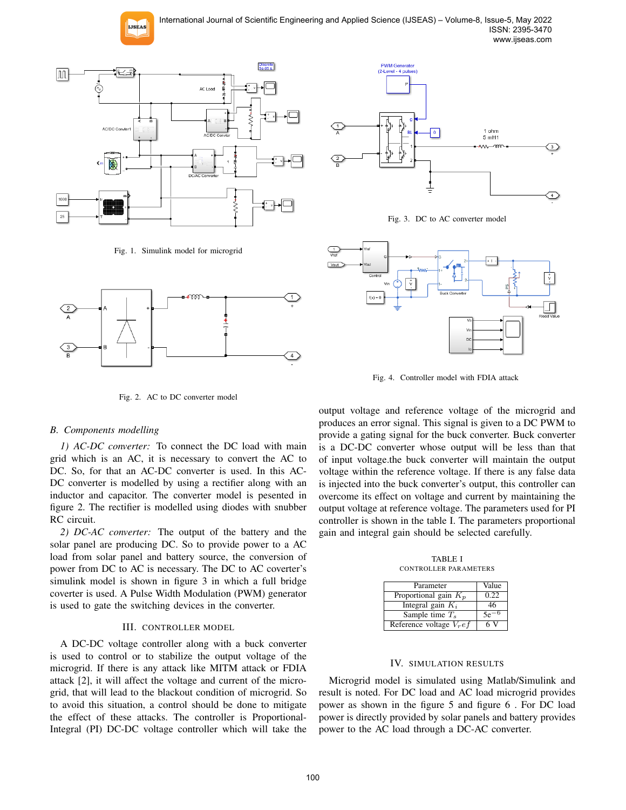International Journal of Scientific Engineering and Applied Science (IJSEAS) – Volume-8, Issue-5, May 2022 ISSN: 2395-3470 www.ijseas.com



Fig. 1. Simulink model for microgrid





Fig. 3. DC to AC converter model



Fig. 4. Controller model with FDIA attack

Fig. 2. AC to DC converter model

# *B. Components modelling*

*1) AC-DC converter:* To connect the DC load with main grid which is an AC, it is necessary to convert the AC to DC. So, for that an AC-DC converter is used. In this AC-DC converter is modelled by using a rectifier along with an inductor and capacitor. The converter model is pesented in figure 2. The rectifier is modelled using diodes with snubber RC circuit.

*2) DC-AC converter:* The output of the battery and the solar panel are producing DC. So to provide power to a AC load from solar panel and battery source, the conversion of power from DC to AC is necessary. The DC to AC coverter's simulink model is shown in figure 3 in which a full bridge coverter is used. A Pulse Width Modulation (PWM) generator is used to gate the switching devices in the converter.

# III. CONTROLLER MODEL

A DC-DC voltage controller along with a buck converter is used to control or to stabilize the output voltage of the microgrid. If there is any attack like MITM attack or FDIA attack [2], it will affect the voltage and current of the microgrid, that will lead to the blackout condition of microgrid. So to avoid this situation, a control should be done to mitigate the effect of these attacks. The controller is Proportional-Integral (PI) DC-DC voltage controller which will take the

output voltage and reference voltage of the microgrid and produces an error signal. This signal is given to a DC PWM to provide a gating signal for the buck converter. Buck converter is a DC-DC converter whose output will be less than that of input voltage.the buck converter will maintain the output voltage within the reference voltage. If there is any false data is injected into the buck converter's output, this controller can overcome its effect on voltage and current by maintaining the output voltage at reference voltage. The parameters used for PI controller is shown in the table I. The parameters proportional gain and integral gain should be selected carefully.

TABLE I CONTROLLER PARAMETERS

| Parameter                   | Value  |
|-----------------------------|--------|
| Proportional gain $K_p$     | 0.22   |
| Integral gain $K_i$         | 46     |
| Sample time $T_s$           | $5e^-$ |
| Reference voltage $V_{r}ef$ | 6V     |

## IV. SIMULATION RESULTS

Microgrid model is simulated using Matlab/Simulink and result is noted. For DC load and AC load microgrid provides power as shown in the figure 5 and figure 6 . For DC load power is directly provided by solar panels and battery provides power to the AC load through a DC-AC converter.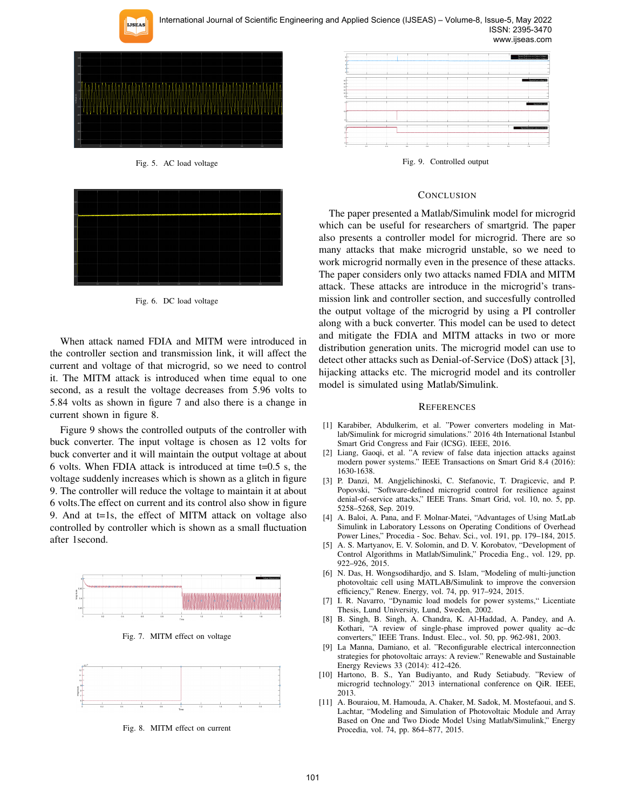

International Journal of Scientific Engineering and Applied Science (IJSEAS) – Volume-8, Issue-5, May 2022 ISSN: 2395-3470 www.ijseas.com



Fig. 5. AC load voltage



Fig. 6. DC load voltage

When attack named FDIA and MITM were introduced in the controller section and transmission link, it will affect the current and voltage of that microgrid, so we need to control it. The MITM attack is introduced when time equal to one second, as a result the voltage decreases from 5.96 volts to 5.84 volts as shown in figure 7 and also there is a change in current shown in figure 8.

Figure 9 shows the controlled outputs of the controller with buck converter. The input voltage is chosen as 12 volts for buck converter and it will maintain the output voltage at about 6 volts. When FDIA attack is introduced at time t=0.5 s, the voltage suddenly increases which is shown as a glitch in figure 9. The controller will reduce the voltage to maintain it at about 6 volts.The effect on current and its control also show in figure 9. And at t=1s, the effect of MITM attack on voltage also controlled by controller which is shown as a small fluctuation after 1second.



Fig. 7. MITM effect on voltage



Fig. 8. MITM effect on current



Fig. 9. Controlled output

## **CONCLUSION**

The paper presented a Matlab/Simulink model for microgrid which can be useful for researchers of smartgrid. The paper also presents a controller model for microgrid. There are so many attacks that make microgrid unstable, so we need to work microgrid normally even in the presence of these attacks. The paper considers only two attacks named FDIA and MITM attack. These attacks are introduce in the microgrid's transmission link and controller section, and succesfully controlled the output voltage of the microgrid by using a PI controller along with a buck converter. This model can be used to detect and mitigate the FDIA and MITM attacks in two or more distribution generation units. The microgrid model can use to detect other attacks such as Denial-of-Service (DoS) attack [3], hijacking attacks etc. The microgrid model and its controller model is simulated using Matlab/Simulink.

### **REFERENCES**

- [1] Karabiber, Abdulkerim, et al. "Power converters modeling in Matlab/Simulink for microgrid simulations." 2016 4th International Istanbul Smart Grid Congress and Fair (ICSG). IEEE, 2016.
- [2] Liang, Gaoqi, et al. "A review of false data injection attacks against modern power systems." IEEE Transactions on Smart Grid 8.4 (2016): 1630-1638.
- [3] P. Danzi, M. Angjelichinoski, C. Stefanovic, T. Dragicevic, and P. Popovski, "Software-defined microgrid control for resilience against denial-of-service attacks," IEEE Trans. Smart Grid, vol. 10, no. 5, pp. 5258–5268, Sep. 2019.
- [4] A. Baloi, A. Pana, and F. Molnar-Matei, "Advantages of Using MatLab Simulink in Laboratory Lessons on Operating Conditions of Overhead Power Lines," Procedia - Soc. Behav. Sci., vol. 191, pp. 179–184, 2015.
- [5] A. S. Martyanov, E. V. Solomin, and D. V. Korobatov, "Development of Control Algorithms in Matlab/Simulink," Procedia Eng., vol. 129, pp. 922–926, 2015.
- [6] N. Das, H. Wongsodihardjo, and S. Islam, "Modeling of multi-junction photovoltaic cell using MATLAB/Simulink to improve the conversion efficiency," Renew. Energy, vol. 74, pp. 917–924, 2015.
- [7] I. R. Navarro, "Dynamic load models for power systems," Licentiate Thesis, Lund University, Lund, Sweden, 2002.
- [8] B. Singh, B. Singh, A. Chandra, K. Al-Haddad, A. Pandey, and A. Kothari, "A review of single-phase improved power quality ac–dc converters," IEEE Trans. Indust. Elec., vol. 50, pp. 962-981, 2003.
- [9] La Manna, Damiano, et al. "Reconfigurable electrical interconnection strategies for photovoltaic arrays: A review." Renewable and Sustainable Energy Reviews 33 (2014): 412-426.
- [10] Hartono, B. S., Yan Budiyanto, and Rudy Setiabudy. "Review of microgrid technology." 2013 international conference on QiR. IEEE, 2013.
- [11] A. Bouraiou, M. Hamouda, A. Chaker, M. Sadok, M. Mostefaoui, and S. Lachtar, "Modeling and Simulation of Photovoltaic Module and Array Based on One and Two Diode Model Using Matlab/Simulink," Energy Procedia, vol. 74, pp. 864–877, 2015.